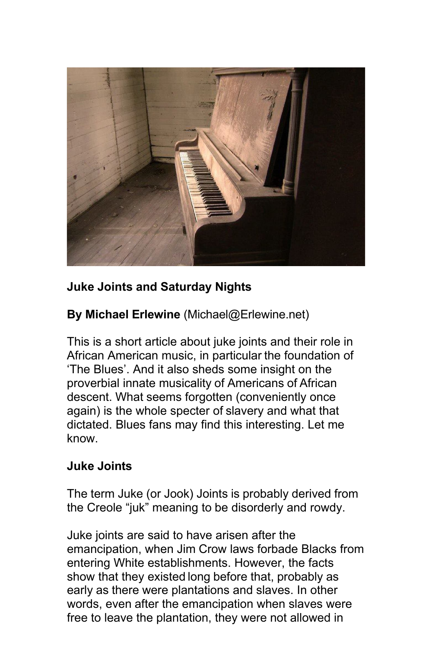

## **Juke Joints and Saturday Nights**

**By Michael Erlewine** (Michael@Erlewine.net)

This is a short article about juke joints and their role in African American music, in particular the foundation of 'The Blues'. And it also sheds some insight on the proverbial innate musicality of Americans of African descent. What seems forgotten (conveniently once again) is the whole specter of slavery and what that dictated. Blues fans may find this interesting. Let me know.

## **Juke Joints**

The term Juke (or Jook) Joints is probably derived from the Creole "juk" meaning to be disorderly and rowdy.

Juke joints are said to have arisen after the emancipation, when Jim Crow laws forbade Blacks from entering White establishments. However, the facts show that they existed long before that, probably as early as there were plantations and slaves. In other words, even after the emancipation when slaves were free to leave the plantation, they were not allowed in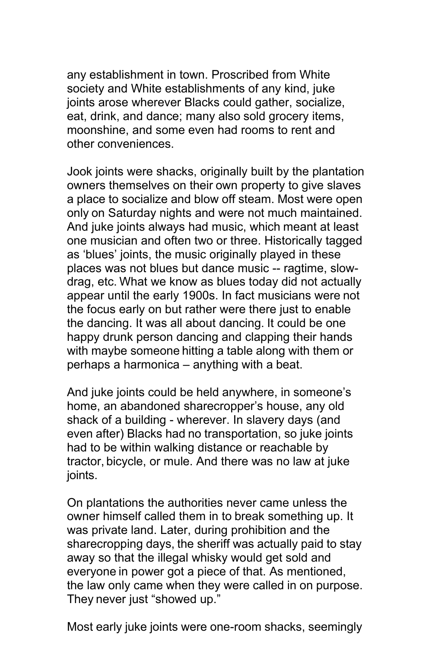any establishment in town. Proscribed from White society and White establishments of any kind, juke joints arose wherever Blacks could gather, socialize, eat, drink, and dance; many also sold grocery items, moonshine, and some even had rooms to rent and other conveniences.

Jook joints were shacks, originally built by the plantation owners themselves on their own property to give slaves a place to socialize and blow off steam. Most were open only on Saturday nights and were not much maintained. And juke joints always had music, which meant at least one musician and often two or three. Historically tagged as 'blues' joints, the music originally played in these places was not blues but dance music -- ragtime, slowdrag, etc. What we know as blues today did not actually appear until the early 1900s. In fact musicians were not the focus early on but rather were there just to enable the dancing. It was all about dancing. It could be one happy drunk person dancing and clapping their hands with maybe someone hitting a table along with them or perhaps a harmonica – anything with a beat.

And juke joints could be held anywhere, in someone's home, an abandoned sharecropper's house, any old shack of a building - wherever. In slavery days (and even after) Blacks had no transportation, so juke joints had to be within walking distance or reachable by tractor, bicycle, or mule. And there was no law at juke joints.

On plantations the authorities never came unless the owner himself called them in to break something up. It was private land. Later, during prohibition and the sharecropping days, the sheriff was actually paid to stay away so that the illegal whisky would get sold and everyone in power got a piece of that. As mentioned, the law only came when they were called in on purpose. They never just "showed up."

Most early juke joints were one-room shacks, seemingly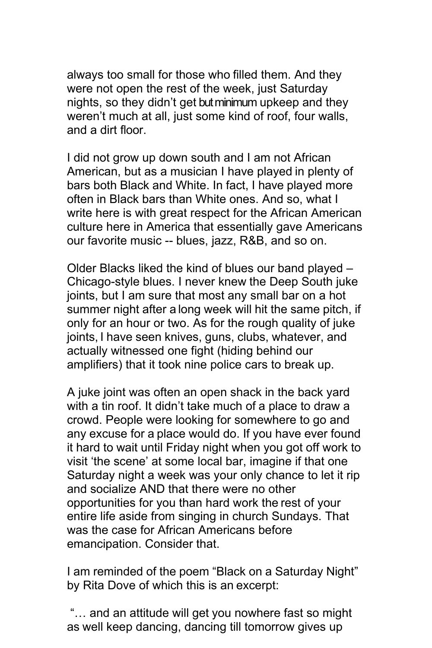always too small for those who filled them. And they were not open the rest of the week, just Saturday nights, so they didn't get but minimum upkeep and they weren't much at all, just some kind of roof, four walls, and a dirt floor.

I did not grow up down south and I am not African American, but as a musician I have played in plenty of bars both Black and White. In fact, I have played more often in Black bars than White ones. And so, what I write here is with great respect for the African American culture here in America that essentially gave Americans our favorite music -- blues, jazz, R&B, and so on.

Older Blacks liked the kind of blues our band played – Chicago-style blues. I never knew the Deep South juke joints, but I am sure that most any small bar on a hot summer night after a long week will hit the same pitch, if only for an hour or two. As for the rough quality of juke joints, I have seen knives, guns, clubs, whatever, and actually witnessed one fight (hiding behind our amplifiers) that it took nine police cars to break up.

A juke joint was often an open shack in the back yard with a tin roof. It didn't take much of a place to draw a crowd. People were looking for somewhere to go and any excuse for a place would do. If you have ever found it hard to wait until Friday night when you got off work to visit 'the scene' at some local bar, imagine if that one Saturday night a week was your only chance to let it rip and socialize AND that there were no other opportunities for you than hard work the rest of your entire life aside from singing in church Sundays. That was the case for African Americans before emancipation. Consider that.

I am reminded of the poem "Black on a Saturday Night" by Rita Dove of which this is an excerpt:

"… and an attitude will get you nowhere fast so might as well keep dancing, dancing till tomorrow gives up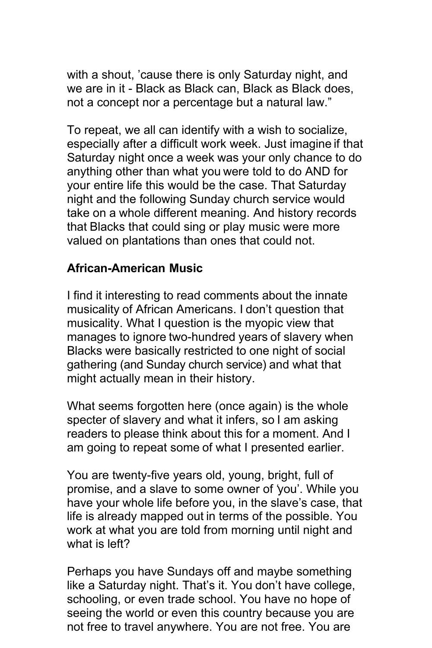with a shout, 'cause there is only Saturday night, and we are in it - Black as Black can, Black as Black does, not a concept nor a percentage but a natural law."

To repeat, we all can identify with a wish to socialize, especially after a difficult work week. Just imagine if that Saturday night once a week was your only chance to do anything other than what you were told to do AND for your entire life this would be the case. That Saturday night and the following Sunday church service would take on a whole different meaning. And history records that Blacks that could sing or play music were more valued on plantations than ones that could not.

## **African-American Music**

I find it interesting to read comments about the innate musicality of African Americans. I don't question that musicality. What I question is the myopic view that manages to ignore two-hundred years of slavery when Blacks were basically restricted to one night of social gathering (and Sunday church service) and what that might actually mean in their history.

What seems forgotten here (once again) is the whole specter of slavery and what it infers, so I am asking readers to please think about this for a moment. And I am going to repeat some of what I presented earlier.

You are twenty-five years old, young, bright, full of promise, and a slave to some owner of 'you'. While you have your whole life before you, in the slave's case, that life is already mapped out in terms of the possible. You work at what you are told from morning until night and what is left?

Perhaps you have Sundays off and maybe something like a Saturday night. That's it. You don't have college, schooling, or even trade school. You have no hope of seeing the world or even this country because you are not free to travel anywhere. You are not free. You are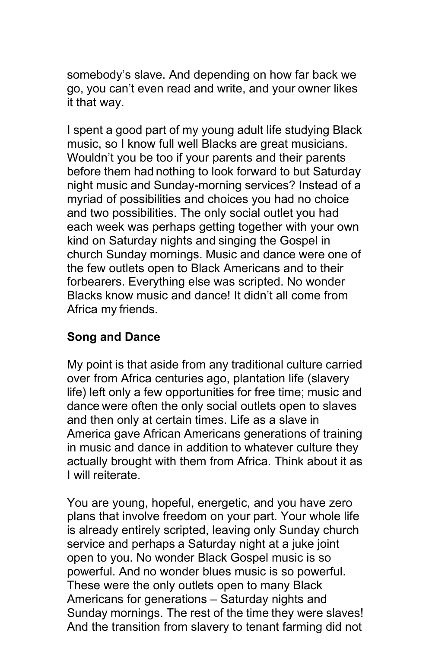somebody's slave. And depending on how far back we go, you can't even read and write, and your owner likes it that way.

I spent a good part of my young adult life studying Black music, so I know full well Blacks are great musicians. Wouldn't you be too if your parents and their parents before them had nothing to look forward to but Saturday night music and Sunday-morning services? Instead of a myriad of possibilities and choices you had no choice and two possibilities. The only social outlet you had each week was perhaps getting together with your own kind on Saturday nights and singing the Gospel in church Sunday mornings. Music and dance were one of the few outlets open to Black Americans and to their forbearers. Everything else was scripted. No wonder Blacks know music and dance! It didn't all come from Africa my friends.

## **Song and Dance**

My point is that aside from any traditional culture carried over from Africa centuries ago, plantation life (slavery life) left only a few opportunities for free time; music and dance were often the only social outlets open to slaves and then only at certain times. Life as a slave in America gave African Americans generations of training in music and dance in addition to whatever culture they actually brought with them from Africa. Think about it as I will reiterate.

You are young, hopeful, energetic, and you have zero plans that involve freedom on your part. Your whole life is already entirely scripted, leaving only Sunday church service and perhaps a Saturday night at a juke joint open to you. No wonder Black Gospel music is so powerful. And no wonder blues music is so powerful. These were the only outlets open to many Black Americans for generations – Saturday nights and Sunday mornings. The rest of the time they were slaves! And the transition from slavery to tenant farming did not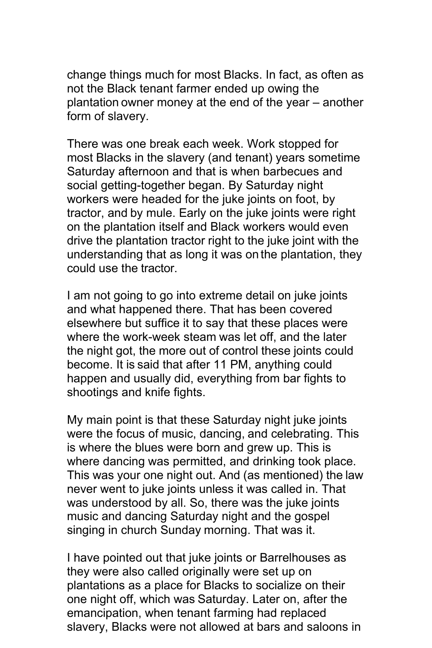change things much for most Blacks. In fact, as often as not the Black tenant farmer ended up owing the plantation owner money at the end of the year – another form of slavery.

There was one break each week. Work stopped for most Blacks in the slavery (and tenant) years sometime Saturday afternoon and that is when barbecues and social getting-together began. By Saturday night workers were headed for the juke joints on foot, by tractor, and by mule. Early on the juke joints were right on the plantation itself and Black workers would even drive the plantation tractor right to the juke joint with the understanding that as long it was on the plantation, they could use the tractor.

I am not going to go into extreme detail on juke joints and what happened there. That has been covered elsewhere but suffice it to say that these places were where the work-week steam was let off, and the later the night got, the more out of control these joints could become. It is said that after 11 PM, anything could happen and usually did, everything from bar fights to shootings and knife fights.

My main point is that these Saturday night juke joints were the focus of music, dancing, and celebrating. This is where the blues were born and grew up. This is where dancing was permitted, and drinking took place. This was your one night out. And (as mentioned) the law never went to juke joints unless it was called in. That was understood by all. So, there was the juke joints music and dancing Saturday night and the gospel singing in church Sunday morning. That was it.

I have pointed out that juke joints or Barrelhouses as they were also called originally were set up on plantations as a place for Blacks to socialize on their one night off, which was Saturday. Later on, after the emancipation, when tenant farming had replaced slavery, Blacks were not allowed at bars and saloons in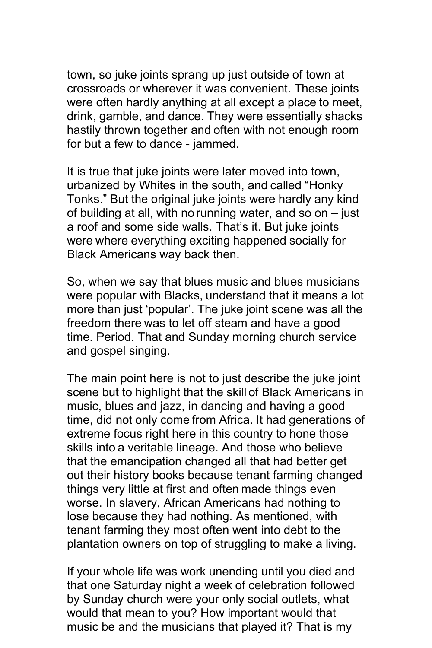town, so juke joints sprang up just outside of town at crossroads or wherever it was convenient. These joints were often hardly anything at all except a place to meet, drink, gamble, and dance. They were essentially shacks hastily thrown together and often with not enough room for but a few to dance - jammed.

It is true that juke joints were later moved into town, urbanized by Whites in the south, and called "Honky Tonks." But the original juke joints were hardly any kind of building at all, with no running water, and so on – just a roof and some side walls. That's it. But juke joints were where everything exciting happened socially for Black Americans way back then.

So, when we say that blues music and blues musicians were popular with Blacks, understand that it means a lot more than just 'popular'. The juke joint scene was all the freedom there was to let off steam and have a good time. Period. That and Sunday morning church service and gospel singing.

The main point here is not to just describe the juke joint scene but to highlight that the skill of Black Americans in music, blues and jazz, in dancing and having a good time, did not only come from Africa. It had generations of extreme focus right here in this country to hone those skills into a veritable lineage. And those who believe that the emancipation changed all that had better get out their history books because tenant farming changed things very little at first and often made things even worse. In slavery, African Americans had nothing to lose because they had nothing. As mentioned, with tenant farming they most often went into debt to the plantation owners on top of struggling to make a living.

If your whole life was work unending until you died and that one Saturday night a week of celebration followed by Sunday church were your only social outlets, what would that mean to you? How important would that music be and the musicians that played it? That is my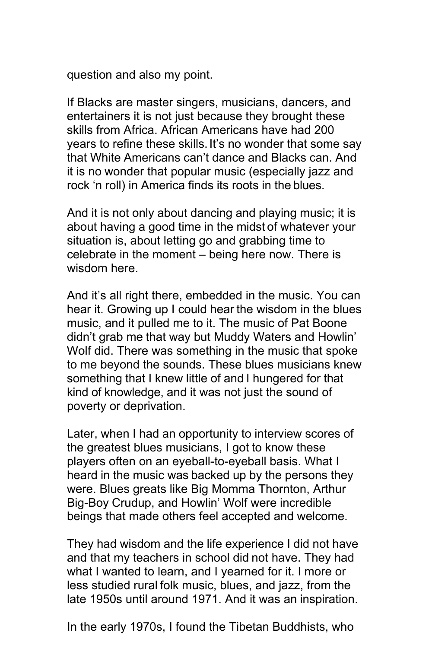question and also my point.

If Blacks are master singers, musicians, dancers, and entertainers it is not just because they brought these skills from Africa. African Americans have had 200 years to refine these skills. It's no wonder that some say that White Americans can't dance and Blacks can. And it is no wonder that popular music (especially jazz and rock 'n roll) in America finds its roots in the blues.

And it is not only about dancing and playing music; it is about having a good time in the midst of whatever your situation is, about letting go and grabbing time to celebrate in the moment – being here now. There is wisdom here.

And it's all right there, embedded in the music. You can hear it. Growing up I could hear the wisdom in the blues music, and it pulled me to it. The music of Pat Boone didn't grab me that way but Muddy Waters and Howlin' Wolf did. There was something in the music that spoke to me beyond the sounds. These blues musicians knew something that I knew little of and I hungered for that kind of knowledge, and it was not just the sound of poverty or deprivation.

Later, when I had an opportunity to interview scores of the greatest blues musicians, I got to know these players often on an eyeball-to-eyeball basis. What I heard in the music was backed up by the persons they were. Blues greats like Big Momma Thornton, Arthur Big-Boy Crudup, and Howlin' Wolf were incredible beings that made others feel accepted and welcome.

They had wisdom and the life experience I did not have and that my teachers in school did not have. They had what I wanted to learn, and I yearned for it. I more or less studied rural folk music, blues, and jazz, from the late 1950s until around 1971. And it was an inspiration.

In the early 1970s, I found the Tibetan Buddhists, who